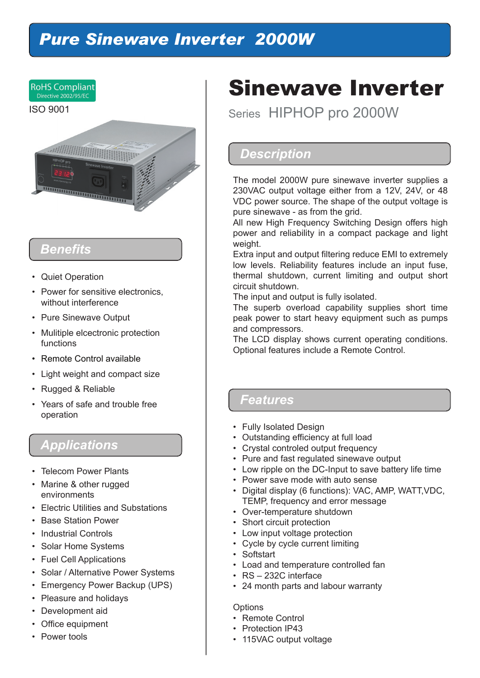## *Pure Sinewave Inverter 2000W*



### *Benefits*

- Quiet Operation
- Power for sensitive electronics, without interference
- Pure Sinewave Output
- Mulitiple elcectronic protection functions
- Remote Control available
- Light weight and compact size
- Rugged & Reliable
- Years of safe and trouble free operation

#### *Applications*

- Telecom Power Plants
- Marine & other rugged environments
- Electric Utilities and Substations
- Base Station Power
- Industrial Controls
- Solar Home Systems
- Fuel Cell Applications
- Solar / Alternative Power Systems
- Emergency Power Backup (UPS)
- Pleasure and holidays
- Development aid
- Office equipment
- Power tools

## Sinewave Inverter

Series HIPHOP pro 2000W

#### *Description*

The model 2000W pure sinewave inverter supplies a 230VAC output voltage either from a 12V, 24V, or 48 VDC power source. The shape of the output voltage is pure sinewave - as from the grid.

All new High Frequency Switching Design offers high power and reliability in a compact package and light weight.

Extra input and output filtering reduce EMI to extremely low levels. Reliability features include an input fuse, thermal shutdown, current limiting and output short circuit shutdown.

The input and output is fully isolated.

The superb overload capability supplies short time peak power to start heavy equipment such as pumps and compressors.

The LCD display shows current operating conditions. Optional features include a Remote Control.

#### *Features*

- Fully Isolated Design
- Outstanding efficiency at full load
- Crystal controled output frequency
- Pure and fast regulated sinewave output
- Low ripple on the DC-Input to save battery life time
- Power save mode with auto sense
- Digital display (6 functions): VAC, AMP, WATT,VDC, TEMP, frequency and error message
- Over-temperature shutdown
- Short circuit protection
- Low input voltage protection
- Cycle by cycle current limiting
- Softstart
- Load and temperature controlled fan
- RS 232C interface
- 24 month parts and labour warranty

#### **Options**

- Remote Control
- Protection IP43
- 115VAC output voltage